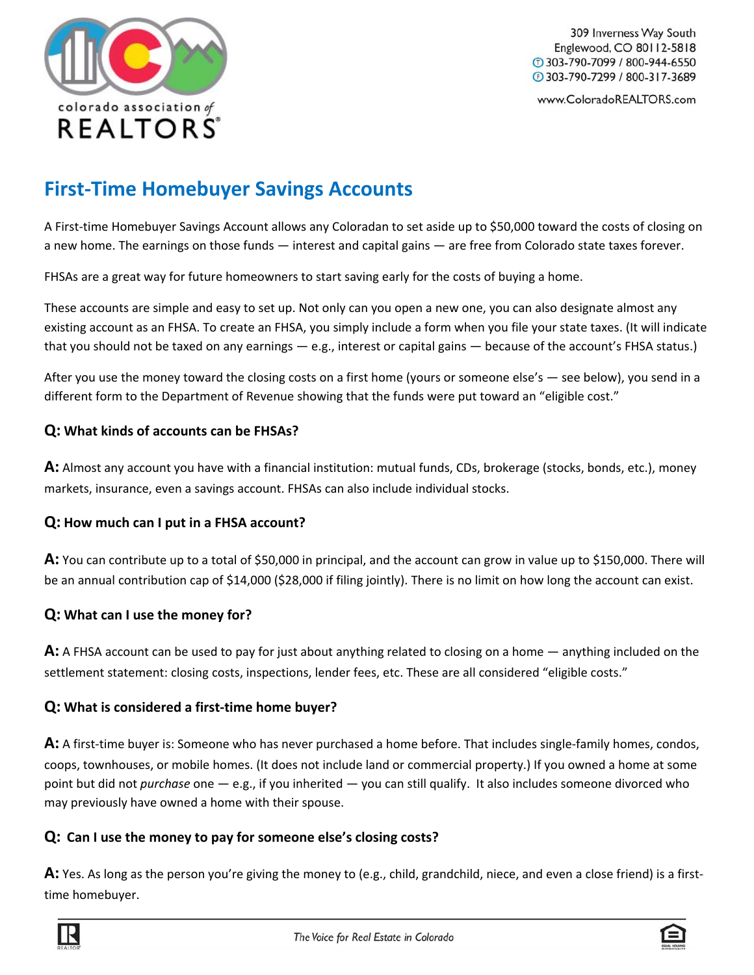

309 Inverness Way South Englewood, CO 80112-5818  $@303-790-7099/800-944-6550$ 15 303-790-7299 / 800-317-3689

www.ColoradoREALTORS.com

# **First‐Time Homebuyer Savings Accounts**

A First‐time Homebuyer Savings Account allows any Coloradan to set aside up to \$50,000 toward the costs of closing on a new home. The earnings on those funds — interest and capital gains — are free from Colorado state taxes forever.

FHSAs are a great way for future homeowners to start saving early for the costs of buying a home.

These accounts are simple and easy to set up. Not only can you open a new one, you can also designate almost any existing account as an FHSA. To create an FHSA, you simply include a form when you file your state taxes. (It will indicate that you should not be taxed on any earnings — e.g., interest or capital gains — because of the account's FHSA status.)

After you use the money toward the closing costs on a first home (yours or someone else's — see below), you send in a different form to the Department of Revenue showing that the funds were put toward an "eligible cost."

#### **Q: What kinds of accounts can be FHSAs?**

**A:** Almost any account you have with a financial institution: mutual funds, CDs, brokerage (stocks, bonds, etc.), money markets, insurance, even a savings account. FHSAs can also include individual stocks.

#### **Q: How much can I put in a FHSA account?**

**A:** You can contribute up to a total of \$50,000 in principal, and the account can grow in value up to \$150,000. There will be an annual contribution cap of \$14,000 (\$28,000 if filing jointly). There is no limit on how long the account can exist.

#### **Q: What can I use the money for?**

**A:** A FHSA account can be used to pay for just about anything related to closing on a home — anything included on the settlement statement: closing costs, inspections, lender fees, etc. These are all considered "eligible costs."

### **Q: What is considered a first‐time home buyer?**

A: A first-time buyer is: Someone who has never purchased a home before. That includes single-family homes, condos, coops, townhouses, or mobile homes. (It does not include land or commercial property.) If you owned a home at some point but did not *purchase* one — e.g., if you inherited — you can still qualify. It also includes someone divorced who may previously have owned a home with their spouse.

#### **Q: Can I use the money to pay for someone else's closing costs?**

**A:** Yes. As long as the person you're giving the money to (e.g., child, grandchild, niece, and even a close friend) is a first‐ time homebuyer.